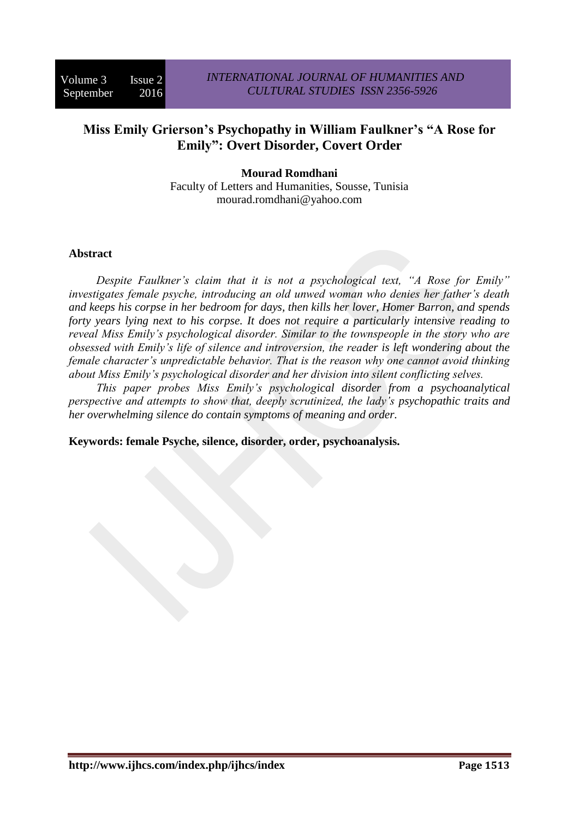# **Miss Emily Grierson's Psychopathy in William Faulkner's "A Rose for Emily": Overt Disorder, Covert Order**

**Mourad Romdhani** Faculty of Letters and Humanities, Sousse, Tunisia mourad.romdhani@yahoo.com

#### **Abstract**

*Despite Faulkner's claim that it is not a psychological text, "A Rose for Emily" investigates female psyche, introducing an old unwed woman who denies her father's death and keeps his corpse in her bedroom for days, then kills her lover, Homer Barron, and spends forty years lying next to his corpse. It does not require a particularly intensive reading to reveal Miss Emily's psychological disorder. Similar to the townspeople in the story who are obsessed with Emily's life of silence and introversion, the reader is left wondering about the female character's unpredictable behavior. That is the reason why one cannot avoid thinking about Miss Emily's psychological disorder and her division into silent conflicting selves.* 

*This paper probes Miss Emily's psychological disorder from a psychoanalytical perspective and attempts to show that, deeply scrutinized, the lady's psychopathic traits and her overwhelming silence do contain symptoms of meaning and order.*

**Keywords: female Psyche, silence, disorder, order, psychoanalysis.**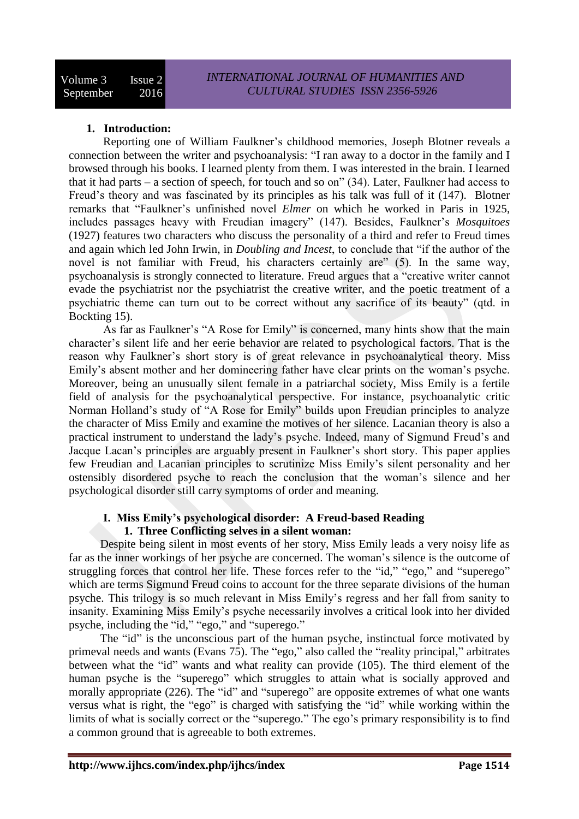# **1. Introduction:**

Reporting one of William Faulkner's childhood memories, Joseph Blotner reveals a connection between the writer and psychoanalysis: "I ran away to a doctor in the family and I browsed through his books. I learned plenty from them. I was interested in the brain. I learned that it had parts – a section of speech, for touch and so on" (34). Later, Faulkner had access to Freud's theory and was fascinated by its principles as his talk was full of it (147). Blotner remarks that "Faulkner's unfinished novel *Elmer* on which he worked in Paris in 1925, includes passages heavy with Freudian imagery" (147). Besides, Faulkner's *Mosquitoes* (1927) features two characters who discuss the personality of a third and refer to Freud times and again which led John Irwin, in *Doubling and Incest*, to conclude that "if the author of the novel is not familiar with Freud, his characters certainly are" (5). In the same way, psychoanalysis is strongly connected to literature. Freud argues that a "creative writer cannot evade the psychiatrist nor the psychiatrist the creative writer, and the poetic treatment of a psychiatric theme can turn out to be correct without any sacrifice of its beauty" (qtd. in Bockting 15).

As far as Faulkner's "A Rose for Emily" is concerned, many hints show that the main character's silent life and her eerie behavior are related to psychological factors. That is the reason why Faulkner's short story is of great relevance in psychoanalytical theory. Miss Emily's absent mother and her domineering father have clear prints on the woman's psyche. Moreover, being an unusually silent female in a patriarchal society, Miss Emily is a fertile field of analysis for the psychoanalytical perspective. For instance, psychoanalytic critic Norman Holland's study of "A Rose for Emily" builds upon Freudian principles to analyze the character of Miss Emily and examine the motives of her silence. Lacanian theory is also a practical instrument to understand the lady's psyche. Indeed, many of Sigmund Freud's and Jacque Lacan's principles are arguably present in Faulkner's short story. This paper applies few Freudian and Lacanian principles to scrutinize Miss Emily's silent personality and her ostensibly disordered psyche to reach the conclusion that the woman's silence and her psychological disorder still carry symptoms of order and meaning.

#### **I. Miss Emily's psychological disorder: A Freud-based Reading 1. Three Conflicting selves in a silent woman:**

Despite being silent in most events of her story, Miss Emily leads a very noisy life as far as the inner workings of her psyche are concerned. The woman's silence is the outcome of struggling forces that control her life. These forces refer to the "id," "ego," and "superego" which are terms Sigmund Freud coins to account for the three separate divisions of the human psyche. This trilogy is so much relevant in Miss Emily's regress and her fall from sanity to insanity. Examining Miss Emily's psyche necessarily involves a critical look into her divided psyche, including the "id," "ego," and "superego."

The "id" is the unconscious part of the human psyche, instinctual force motivated by primeval needs and wants (Evans 75). The "ego," also called the "reality principal," arbitrates between what the "id" wants and what reality can provide (105). The third element of the human psyche is the "superego" which struggles to attain what is socially approved and morally appropriate (226). The "id" and "superego" are opposite extremes of what one wants versus what is right, the "ego" is charged with satisfying the "id" while working within the limits of what is socially correct or the "superego." The ego's primary responsibility is to find a common ground that is agreeable to both extremes.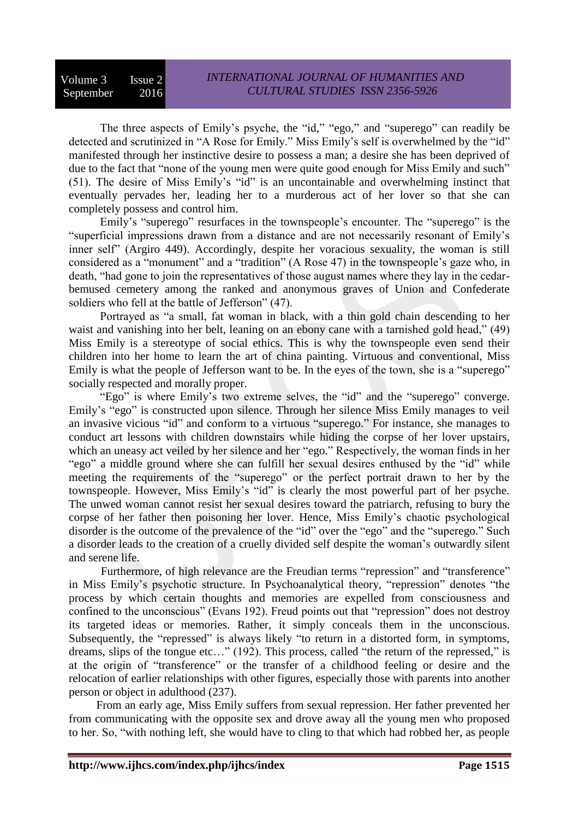#### Volume 3 Issue 2 September 2016

The three aspects of Emily's psyche, the "id," "ego," and "superego" can readily be detected and scrutinized in "A Rose for Emily." Miss Emily's self is overwhelmed by the "id" manifested through her instinctive desire to possess a man; a desire she has been deprived of due to the fact that "none of the young men were quite good enough for Miss Emily and such" (51). The desire of Miss Emily's "id" is an uncontainable and overwhelming instinct that eventually pervades her, leading her to a murderous act of her lover so that she can completely possess and control him.

Emily's "superego" resurfaces in the townspeople's encounter. The "superego" is the "superficial impressions drawn from a distance and are not necessarily resonant of Emily's inner self" (Argiro 449). Accordingly, despite her voracious sexuality, the woman is still considered as a "monument" and a "tradition" (A Rose 47) in the townspeople's gaze who, in death, "had gone to join the representatives of those august names where they lay in the cedarbemused cemetery among the ranked and anonymous graves of Union and Confederate soldiers who fell at the battle of Jefferson" (47).

Portrayed as "a small, fat woman in black, with a thin gold chain descending to her waist and vanishing into her belt, leaning on an ebony cane with a tarnished gold head," (49) Miss Emily is a stereotype of social ethics. This is why the townspeople even send their children into her home to learn the art of china painting. Virtuous and conventional, Miss Emily is what the people of Jefferson want to be. In the eyes of the town, she is a "superego" socially respected and morally proper.

"Ego" is where Emily's two extreme selves, the "id" and the "superego" converge. Emily's "ego" is constructed upon silence. Through her silence Miss Emily manages to veil an invasive vicious "id" and conform to a virtuous "superego." For instance, she manages to conduct art lessons with children downstairs while hiding the corpse of her lover upstairs, which an uneasy act veiled by her silence and her "ego." Respectively, the woman finds in her "ego" a middle ground where she can fulfill her sexual desires enthused by the "id" while meeting the requirements of the "superego" or the perfect portrait drawn to her by the townspeople. However, Miss Emily's "id" is clearly the most powerful part of her psyche. The unwed woman cannot resist her sexual desires toward the patriarch, refusing to bury the corpse of her father then poisoning her lover. Hence, Miss Emily's chaotic psychological disorder is the outcome of the prevalence of the "id" over the "ego" and the "superego." Such a disorder leads to the creation of a cruelly divided self despite the woman's outwardly silent and serene life.

 Furthermore, of high relevance are the Freudian terms "repression" and "transference" in Miss Emily's psychotic structure. In Psychoanalytical theory, "repression" denotes "the process by which certain thoughts and memories are expelled from consciousness and confined to the unconscious" (Evans 192). Freud points out that "repression" does not destroy its targeted ideas or memories. Rather, it simply conceals them in the unconscious. Subsequently, the "repressed" is always likely "to return in a distorted form, in symptoms, dreams, slips of the tongue etc…" (192). This process, called "the return of the repressed," is at the origin of "transference" or the transfer of a childhood feeling or desire and the relocation of earlier relationships with other figures, especially those with parents into another person or object in adulthood (237).

From an early age, Miss Emily suffers from sexual repression. Her father prevented her from communicating with the opposite sex and drove away all the young men who proposed to her. So, "with nothing left, she would have to cling to that which had robbed her, as people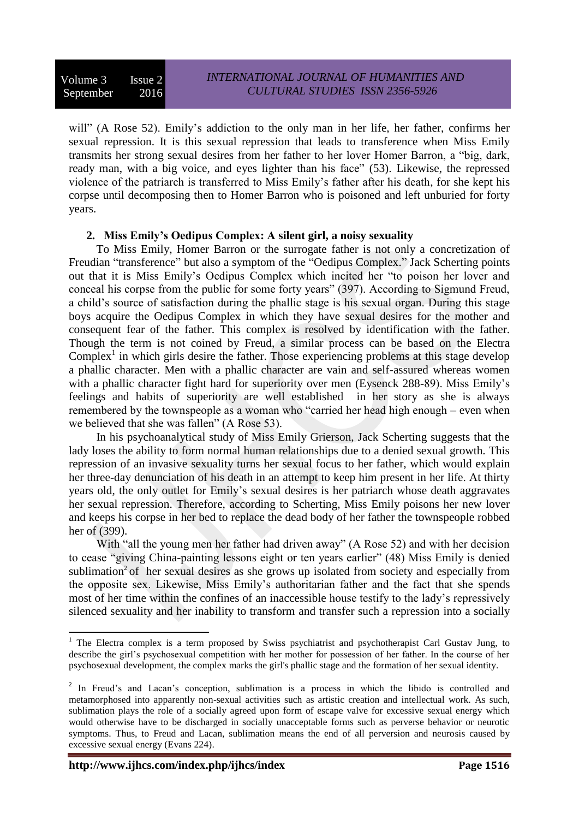will" (A Rose 52). Emily's addiction to the only man in her life, her father, confirms her sexual repression. It is this sexual repression that leads to transference when Miss Emily transmits her strong sexual desires from her father to her lover Homer Barron, a "big, dark, ready man, with a big voice, and eyes lighter than his face" (53). Likewise, the repressed violence of the patriarch is transferred to Miss Emily's father after his death, for she kept his corpse until decomposing then to Homer Barron who is poisoned and left unburied for forty years.

# **2. Miss Emily's Oedipus Complex: A silent girl, a noisy sexuality**

To Miss Emily, Homer Barron or the surrogate father is not only a concretization of Freudian "transference" but also a symptom of the "Oedipus Complex." Jack Scherting points out that it is Miss Emily's Oedipus Complex which incited her "to poison her lover and conceal his corpse from the public for some forty years" (397). According to Sigmund Freud, a child's source of satisfaction during the phallic stage is his sexual organ. During this stage boys acquire the Oedipus Complex in which they have sexual desires for the mother and consequent fear of the father. This complex is resolved by identification with the father. Though the term is not coined by Freud, a similar process can be based on the Electra Complex<sup>1</sup> in which girls desire the father. Those experiencing problems at this stage develop a phallic character. Men with a phallic character are vain and self-assured whereas women with a phallic character fight hard for superiority over men (Eysenck 288-89). Miss Emily's feelings and habits of superiority are well established in her story as she is always remembered by the townspeople as a woman who "carried her head high enough – even when we believed that she was fallen" (A Rose 53).

In his psychoanalytical study of Miss Emily Grierson, Jack Scherting suggests that the lady loses the ability to form normal human relationships due to a denied sexual growth. This repression of an invasive sexuality turns her sexual focus to her father, which would explain her three-day denunciation of his death in an attempt to keep him present in her life. At thirty years old, the only outlet for Emily's sexual desires is her patriarch whose death aggravates her sexual repression. Therefore, according to Scherting, Miss Emily poisons her new lover and keeps his corpse in her bed to replace the dead body of her father the townspeople robbed her of (399).

With "all the young men her father had driven away" (A Rose 52) and with her decision to cease "giving China-painting lessons eight or ten years earlier" (48) Miss Emily is denied sublimation<sup>2</sup> of her sexual desires as she grows up isolated from society and especially from the opposite sex. Likewise, Miss Emily's authoritarian father and the fact that she spends most of her time within the confines of an inaccessible house testify to the lady's repressively silenced sexuality and her inability to transform and transfer such a repression into a socially

**.** 

<sup>&</sup>lt;sup>1</sup> The Electra complex is a term proposed by Swiss psychiatrist and psychotherapist Carl Gustav Jung, to describe the girl's psychosexual competition with her mother for possession of her father. In the course of her psychosexual development, the complex marks the girl's phallic stage and the formation of her sexual identity.

<sup>&</sup>lt;sup>2</sup> In Freud's and Lacan's conception, sublimation is a process in which the libido is controlled and metamorphosed into apparently non-sexual activities such as artistic creation and intellectual work. As such, sublimation plays the role of a socially agreed upon form of escape valve for excessive sexual energy which would otherwise have to be discharged in socially unacceptable forms such as perverse behavior or neurotic symptoms. Thus, to Freud and Lacan, sublimation means the end of all perversion and neurosis caused by excessive sexual energy (Evans 224).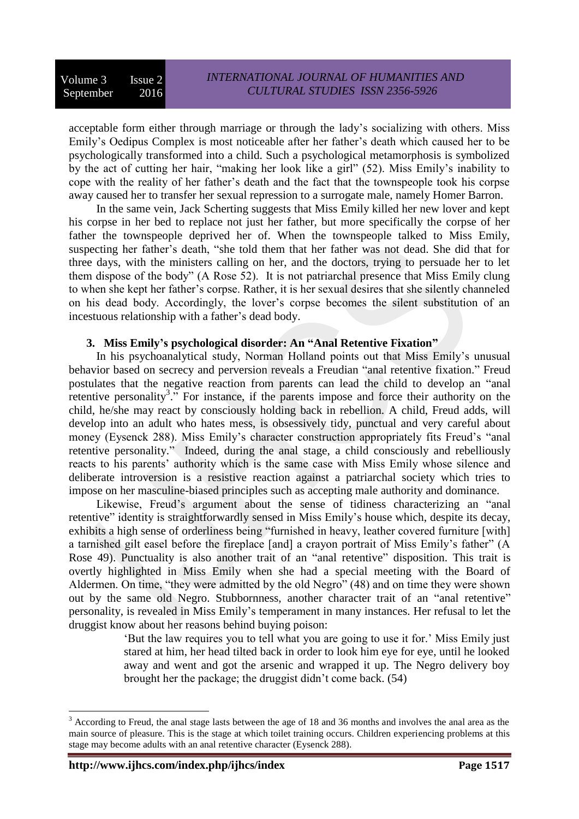acceptable form either through marriage or through the lady's socializing with others. Miss Emily's Oedipus Complex is most noticeable after her father's death which caused her to be psychologically transformed into a child. Such a psychological metamorphosis is symbolized by the act of cutting her hair, "making her look like a girl" (52). Miss Emily's inability to cope with the reality of her father's death and the fact that the townspeople took his corpse away caused her to transfer her sexual repression to a surrogate male, namely Homer Barron.

In the same vein, Jack Scherting suggests that Miss Emily killed her new lover and kept his corpse in her bed to replace not just her father, but more specifically the corpse of her father the townspeople deprived her of. When the townspeople talked to Miss Emily, suspecting her father's death, "she told them that her father was not dead. She did that for three days, with the ministers calling on her, and the doctors, trying to persuade her to let them dispose of the body" (A Rose 52). It is not patriarchal presence that Miss Emily clung to when she kept her father's corpse. Rather, it is her sexual desires that she silently channeled on his dead body. Accordingly, the lover's corpse becomes the silent substitution of an incestuous relationship with a father's dead body.

# **3. Miss Emily's psychological disorder: An "Anal Retentive Fixation"**

In his psychoanalytical study, Norman Holland points out that Miss Emily's unusual behavior based on secrecy and perversion reveals a Freudian "anal retentive fixation." Freud postulates that the negative reaction from parents can lead the child to develop an "anal retentive personality<sup>3</sup>." For instance, if the parents impose and force their authority on the child, he/she may react by consciously holding back in rebellion. A child, Freud adds, will develop into an adult who hates mess, is obsessively tidy, punctual and very careful about money (Eysenck 288). Miss Emily's character construction appropriately fits Freud's "anal retentive personality." Indeed, during the anal stage, a child consciously and rebelliously reacts to his parents' authority which is the same case with Miss Emily whose silence and deliberate introversion is a resistive reaction against a patriarchal society which tries to impose on her masculine-biased principles such as accepting male authority and dominance.

Likewise, Freud's argument about the sense of tidiness characterizing an "anal retentive" identity is straightforwardly sensed in Miss Emily's house which, despite its decay, exhibits a high sense of orderliness being "furnished in heavy, leather covered furniture [with] a tarnished gilt easel before the fireplace [and] a crayon portrait of Miss Emily's father" (A Rose 49). Punctuality is also another trait of an "anal retentive" disposition. This trait is overtly highlighted in Miss Emily when she had a special meeting with the Board of Aldermen. On time, "they were admitted by the old Negro" (48) and on time they were shown out by the same old Negro. Stubbornness, another character trait of an "anal retentive" personality, is revealed in Miss Emily's temperament in many instances. Her refusal to let the druggist know about her reasons behind buying poison:

> 'But the law requires you to tell what you are going to use it for.' Miss Emily just stared at him, her head tilted back in order to look him eye for eye, until he looked away and went and got the arsenic and wrapped it up. The Negro delivery boy brought her the package; the druggist didn't come back. (54)

1

 $3$  According to Freud, the anal stage lasts between the age of 18 and 36 months and involves the anal area as the main source of pleasure. This is the stage at which toilet training occurs. Children experiencing problems at this stage may become adults with an anal retentive character (Eysenck 288).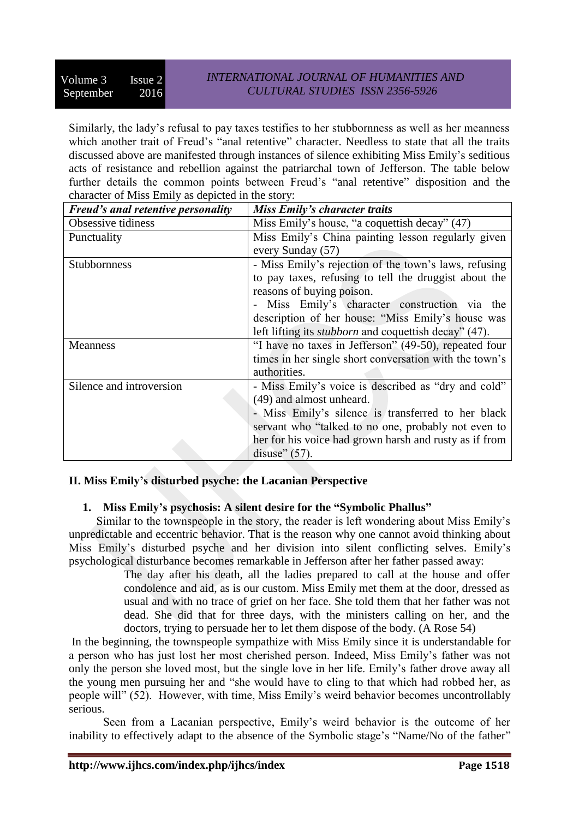Similarly, the lady's refusal to pay taxes testifies to her stubbornness as well as her meanness which another trait of Freud's "anal retentive" character. Needless to state that all the traits discussed above are manifested through instances of silence exhibiting Miss Emily's seditious acts of resistance and rebellion against the patriarchal town of Jefferson. The table below further details the common points between Freud's "anal retentive" disposition and the character of Miss Emily as depicted in the story:

| <b>Freud's anal retentive personality</b> | Miss Emily's character traits                                |
|-------------------------------------------|--------------------------------------------------------------|
| Obsessive tidiness                        | Miss Emily's house, "a coquettish decay" (47)                |
| Punctuality                               | Miss Emily's China painting lesson regularly given           |
|                                           | every Sunday (57)                                            |
| <b>Stubbornness</b>                       | - Miss Emily's rejection of the town's laws, refusing        |
|                                           | to pay taxes, refusing to tell the druggist about the        |
|                                           | reasons of buying poison.                                    |
|                                           | - Miss Emily's character construction via the                |
|                                           | description of her house: "Miss Emily's house was            |
|                                           | left lifting its <i>stubborn</i> and coquettish decay" (47). |
| <b>Meanness</b>                           | "I have no taxes in Jefferson" (49-50), repeated four        |
|                                           | times in her single short conversation with the town's       |
|                                           | authorities.                                                 |
| Silence and introversion                  | - Miss Emily's voice is described as "dry and cold"          |
|                                           | (49) and almost unheard.                                     |
|                                           | - Miss Emily's silence is transferred to her black           |
|                                           | servant who "talked to no one, probably not even to          |
|                                           | her for his voice had grown harsh and rusty as if from       |
|                                           | disuse" $(57)$ .                                             |

# **II. Miss Emily's disturbed psyche: the Lacanian Perspective**

# **1. Miss Emily's psychosis: A silent desire for the "Symbolic Phallus"**

Similar to the townspeople in the story, the reader is left wondering about Miss Emily's unpredictable and eccentric behavior. That is the reason why one cannot avoid thinking about Miss Emily's disturbed psyche and her division into silent conflicting selves. Emily's psychological disturbance becomes remarkable in Jefferson after her father passed away:

> The day after his death, all the ladies prepared to call at the house and offer condolence and aid, as is our custom. Miss Emily met them at the door, dressed as usual and with no trace of grief on her face. She told them that her father was not dead. She did that for three days, with the ministers calling on her, and the doctors, trying to persuade her to let them dispose of the body. (A Rose 54)

In the beginning, the townspeople sympathize with Miss Emily since it is understandable for a person who has just lost her most cherished person. Indeed, Miss Emily's father was not only the person she loved most, but the single love in her life. Emily's father drove away all the young men pursuing her and "she would have to cling to that which had robbed her, as people will" (52). However, with time, Miss Emily's weird behavior becomes uncontrollably serious.

Seen from a Lacanian perspective, Emily's weird behavior is the outcome of her inability to effectively adapt to the absence of the Symbolic stage's "Name/No of the father"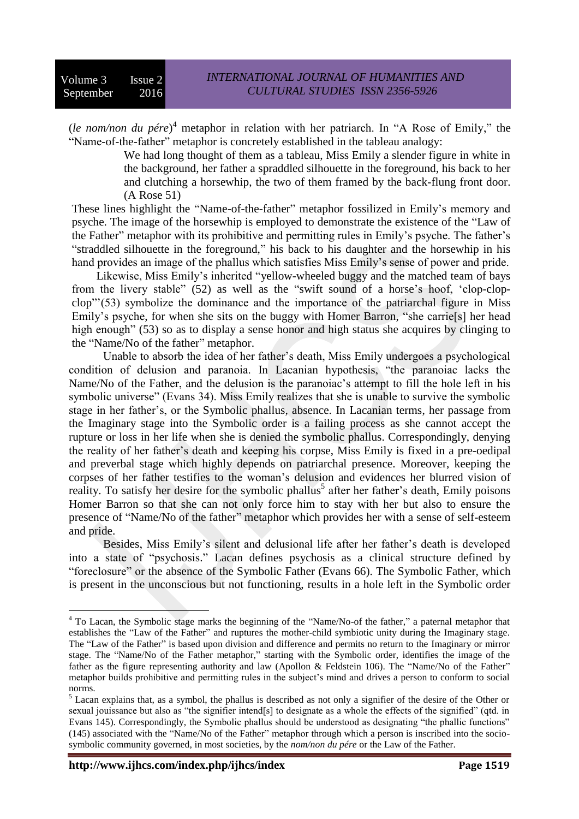(*le nom/non du pére*) <sup>4</sup> metaphor in relation with her patriarch. In "A Rose of Emily," the "Name-of-the-father" metaphor is concretely established in the tableau analogy:

We had long thought of them as a tableau, Miss Emily a slender figure in white in the background, her father a spraddled silhouette in the foreground, his back to her and clutching a horsewhip, the two of them framed by the back-flung front door. (A Rose 51)

These lines highlight the "Name-of-the-father" metaphor fossilized in Emily's memory and psyche. The image of the horsewhip is employed to demonstrate the existence of the "Law of the Father" metaphor with its prohibitive and permitting rules in Emily's psyche. The father's "straddled silhouette in the foreground," his back to his daughter and the horsewhip in his hand provides an image of the phallus which satisfies Miss Emily's sense of power and pride.

Likewise, Miss Emily's inherited "yellow-wheeled buggy and the matched team of bays from the livery stable" (52) as well as the "swift sound of a horse's hoof, 'clop-clopclop"'(53) symbolize the dominance and the importance of the patriarchal figure in Miss Emily's psyche, for when she sits on the buggy with Homer Barron, "she carrie[s] her head high enough" (53) so as to display a sense honor and high status she acquires by clinging to the "Name/No of the father" metaphor.

Unable to absorb the idea of her father's death, Miss Emily undergoes a psychological condition of delusion and paranoia. In Lacanian hypothesis, "the paranoiac lacks the Name/No of the Father, and the delusion is the paranoiac's attempt to fill the hole left in his symbolic universe" (Evans 34). Miss Emily realizes that she is unable to survive the symbolic stage in her father's, or the Symbolic phallus, absence. In Lacanian terms, her passage from the Imaginary stage into the Symbolic order is a failing process as she cannot accept the rupture or loss in her life when she is denied the symbolic phallus. Correspondingly, denying the reality of her father's death and keeping his corpse, Miss Emily is fixed in a pre-oedipal and preverbal stage which highly depends on patriarchal presence. Moreover, keeping the corpses of her father testifies to the woman's delusion and evidences her blurred vision of reality. To satisfy her desire for the symbolic phallus<sup>5</sup> after her father's death, Emily poisons Homer Barron so that she can not only force him to stay with her but also to ensure the presence of "Name/No of the father" metaphor which provides her with a sense of self-esteem and pride.

Besides, Miss Emily's silent and delusional life after her father's death is developed into a state of "psychosis." Lacan defines psychosis as a clinical structure defined by "foreclosure" or the absence of the Symbolic Father (Evans 66). The Symbolic Father, which is present in the unconscious but not functioning, results in a hole left in the Symbolic order

 $\overline{a}$ 

<sup>&</sup>lt;sup>4</sup> To Lacan, the Symbolic stage marks the beginning of the "Name/No-of the father," a paternal metaphor that establishes the "Law of the Father" and ruptures the mother-child symbiotic unity during the Imaginary stage. The "Law of the Father" is based upon division and difference and permits no return to the Imaginary or mirror stage. The "Name/No of the Father metaphor," starting with the Symbolic order, identifies the image of the father as the figure representing authority and law (Apollon & Feldstein 106). The "Name/No of the Father" metaphor builds prohibitive and permitting rules in the subject's mind and drives a person to conform to social norms.

<sup>&</sup>lt;sup>5</sup> Lacan explains that, as a symbol, the phallus is described as not only a signifier of the desire of the Other or sexual jouissance but also as "the signifier intend[s] to designate as a whole the effects of the signified" (qtd. in Evans 145). Correspondingly, the Symbolic phallus should be understood as designating "the phallic functions" (145) associated with the "Name/No of the Father" metaphor through which a person is inscribed into the sociosymbolic community governed, in most societies, by the *nom/non du pére* or the Law of the Father.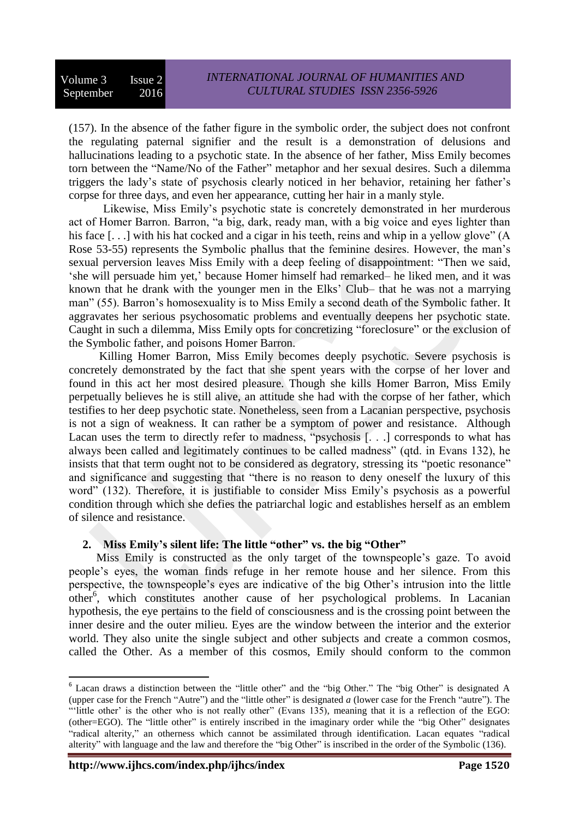(157). In the absence of the father figure in the symbolic order, the subject does not confront the regulating paternal signifier and the result is a demonstration of delusions and hallucinations leading to a psychotic state. In the absence of her father, Miss Emily becomes torn between the "Name/No of the Father" metaphor and her sexual desires. Such a dilemma triggers the lady's state of psychosis clearly noticed in her behavior, retaining her father's corpse for three days, and even her appearance, cutting her hair in a manly style.

Likewise, Miss Emily's psychotic state is concretely demonstrated in her murderous act of Homer Barron. Barron, "a big, dark, ready man, with a big voice and eyes lighter than his face [...] with his hat cocked and a cigar in his teeth, reins and whip in a yellow glove" (A Rose 53-55) represents the Symbolic phallus that the feminine desires. However, the man's sexual perversion leaves Miss Emily with a deep feeling of disappointment: "Then we said, 'she will persuade him yet,' because Homer himself had remarked– he liked men, and it was known that he drank with the younger men in the Elks' Club– that he was not a marrying man" (55). Barron's homosexuality is to Miss Emily a second death of the Symbolic father. It aggravates her serious psychosomatic problems and eventually deepens her psychotic state. Caught in such a dilemma, Miss Emily opts for concretizing "foreclosure" or the exclusion of the Symbolic father, and poisons Homer Barron.

Killing Homer Barron, Miss Emily becomes deeply psychotic. Severe psychosis is concretely demonstrated by the fact that she spent years with the corpse of her lover and found in this act her most desired pleasure. Though she kills Homer Barron, Miss Emily perpetually believes he is still alive, an attitude she had with the corpse of her father, which testifies to her deep psychotic state. Nonetheless, seen from a Lacanian perspective, psychosis is not a sign of weakness. It can rather be a symptom of power and resistance. Although Lacan uses the term to directly refer to madness, "psychosis [. . .] corresponds to what has always been called and legitimately continues to be called madness" (qtd. in Evans 132), he insists that that term ought not to be considered as degratory, stressing its "poetic resonance" and significance and suggesting that "there is no reason to deny oneself the luxury of this word" (132). Therefore, it is justifiable to consider Miss Emily's psychosis as a powerful condition through which she defies the patriarchal logic and establishes herself as an emblem of silence and resistance.

# **2. Miss Emily's silent life: The little "other" vs. the big "Other"**

Miss Emily is constructed as the only target of the townspeople's gaze. To avoid people's eyes, the woman finds refuge in her remote house and her silence. From this perspective, the townspeople's eyes are indicative of the big Other's intrusion into the little other<sup>6</sup>, which constitutes another cause of her psychological problems. In Lacanian hypothesis, the eye pertains to the field of consciousness and is the crossing point between the inner desire and the outer milieu. Eyes are the window between the interior and the exterior world. They also unite the single subject and other subjects and create a common cosmos, called the Other. As a member of this cosmos, Emily should conform to the common

**.** 

<sup>&</sup>lt;sup>6</sup> Lacan draws a distinction between the "little other" and the "big Other." The "big Other" is designated A (upper case for the French "Autre") and the "little other" is designated *a* (lower case for the French "autre"). The "'little other' is the other who is not really other" (Evans 135), meaning that it is a reflection of the EGO: (other=EGO). The "little other" is entirely inscribed in the imaginary order while the "big Other" designates "radical alterity," an otherness which cannot be assimilated through identification. Lacan equates "radical alterity" with language and the law and therefore the "big Other" is inscribed in the order of the Symbolic (136).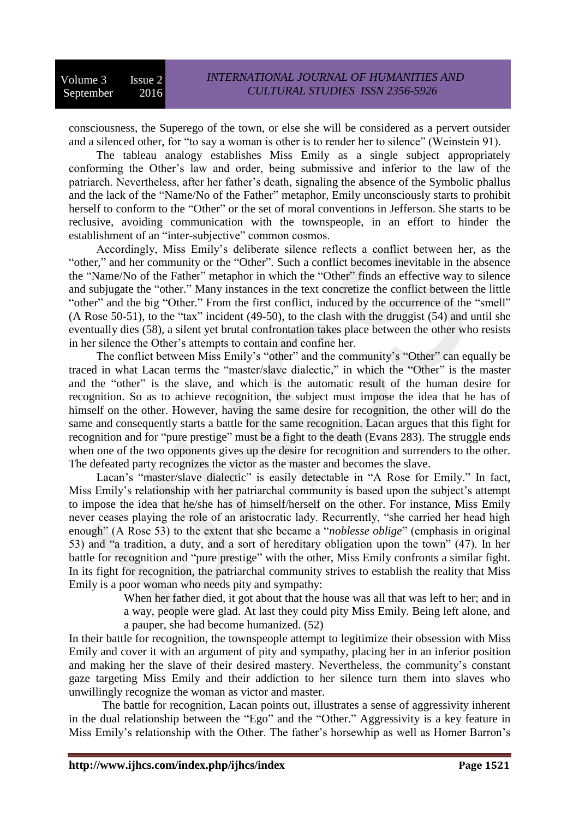consciousness, the Superego of the town, or else she will be considered as a pervert outsider and a silenced other, for "to say a woman is other is to render her to silence" (Weinstein 91).

The tableau analogy establishes Miss Emily as a single subject appropriately conforming the Other's law and order, being submissive and inferior to the law of the patriarch. Nevertheless, after her father's death, signaling the absence of the Symbolic phallus and the lack of the "Name/No of the Father" metaphor, Emily unconsciously starts to prohibit herself to conform to the "Other" or the set of moral conventions in Jefferson. She starts to be reclusive, avoiding communication with the townspeople, in an effort to hinder the establishment of an "inter-subjective" common cosmos.

Accordingly, Miss Emily's deliberate silence reflects a conflict between her, as the "other," and her community or the "Other". Such a conflict becomes inevitable in the absence the "Name/No of the Father" metaphor in which the "Other" finds an effective way to silence and subjugate the "other." Many instances in the text concretize the conflict between the little "other" and the big "Other." From the first conflict, induced by the occurrence of the "smell" (A Rose 50-51), to the "tax" incident (49-50), to the clash with the druggist (54) and until she eventually dies (58), a silent yet brutal confrontation takes place between the other who resists in her silence the Other's attempts to contain and confine her.

The conflict between Miss Emily's "other" and the community's "Other" can equally be traced in what Lacan terms the "master/slave dialectic," in which the "Other" is the master and the "other" is the slave, and which is the automatic result of the human desire for recognition. So as to achieve recognition, the subject must impose the idea that he has of himself on the other. However, having the same desire for recognition, the other will do the same and consequently starts a battle for the same recognition. Lacan argues that this fight for recognition and for "pure prestige" must be a fight to the death (Evans 283). The struggle ends when one of the two opponents gives up the desire for recognition and surrenders to the other. The defeated party recognizes the victor as the master and becomes the slave.

Lacan's "master/slave dialectic" is easily detectable in "A Rose for Emily." In fact, Miss Emily's relationship with her patriarchal community is based upon the subject's attempt to impose the idea that he/she has of himself/herself on the other. For instance, Miss Emily never ceases playing the role of an aristocratic lady. Recurrently, "she carried her head high enough" (A Rose 53) to the extent that she became a "*noblesse oblige*" (emphasis in original 53) and "a tradition, a duty, and a sort of hereditary obligation upon the town" (47). In her battle for recognition and "pure prestige" with the other, Miss Emily confronts a similar fight. In its fight for recognition, the patriarchal community strives to establish the reality that Miss Emily is a poor woman who needs pity and sympathy:

> When her father died, it got about that the house was all that was left to her; and in a way, people were glad. At last they could pity Miss Emily. Being left alone, and a pauper, she had become humanized. (52)

In their battle for recognition, the townspeople attempt to legitimize their obsession with Miss Emily and cover it with an argument of pity and sympathy, placing her in an inferior position and making her the slave of their desired mastery. Nevertheless, the community's constant gaze targeting Miss Emily and their addiction to her silence turn them into slaves who unwillingly recognize the woman as victor and master.

 The battle for recognition, Lacan points out, illustrates a sense of aggressivity inherent in the dual relationship between the "Ego" and the "Other." Aggressivity is a key feature in Miss Emily's relationship with the Other. The father's horsewhip as well as Homer Barron's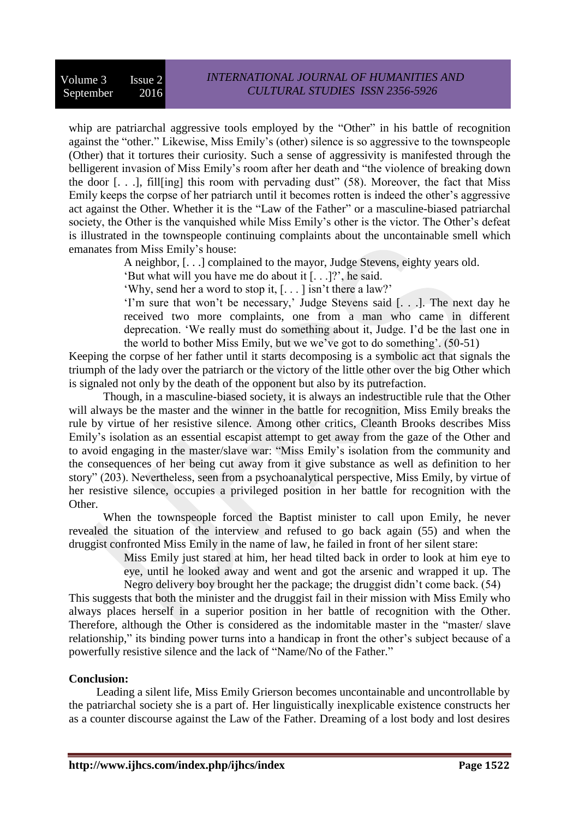whip are patriarchal aggressive tools employed by the "Other" in his battle of recognition against the "other." Likewise, Miss Emily's (other) silence is so aggressive to the townspeople (Other) that it tortures their curiosity. Such a sense of aggressivity is manifested through the belligerent invasion of Miss Emily's room after her death and "the violence of breaking down the door  $[...]$ , fill [ing] this room with pervading dust" (58). Moreover, the fact that Miss Emily keeps the corpse of her patriarch until it becomes rotten is indeed the other's aggressive act against the Other. Whether it is the "Law of the Father" or a masculine-biased patriarchal society, the Other is the vanquished while Miss Emily's other is the victor. The Other's defeat is illustrated in the townspeople continuing complaints about the uncontainable smell which emanates from Miss Emily's house:

A neighbor, [. . .] complained to the mayor, Judge Stevens, eighty years old.

'But what will you have me do about it [. . .]?', he said.

'Why, send her a word to stop it, [. . . ] isn't there a law?'

'I'm sure that won't be necessary,' Judge Stevens said [. . .]. The next day he received two more complaints, one from a man who came in different deprecation. 'We really must do something about it, Judge. I'd be the last one in the world to bother Miss Emily, but we we've got to do something'. (50-51)

Keeping the corpse of her father until it starts decomposing is a symbolic act that signals the triumph of the lady over the patriarch or the victory of the little other over the big Other which is signaled not only by the death of the opponent but also by its putrefaction.

Though, in a masculine-biased society, it is always an indestructible rule that the Other will always be the master and the winner in the battle for recognition, Miss Emily breaks the rule by virtue of her resistive silence. Among other critics, Cleanth Brooks describes Miss Emily's isolation as an essential escapist attempt to get away from the gaze of the Other and to avoid engaging in the master/slave war: "Miss Emily's isolation from the community and the consequences of her being cut away from it give substance as well as definition to her story" (203). Nevertheless, seen from a psychoanalytical perspective, Miss Emily, by virtue of her resistive silence, occupies a privileged position in her battle for recognition with the Other.

When the townspeople forced the Baptist minister to call upon Emily, he never revealed the situation of the interview and refused to go back again (55) and when the druggist confronted Miss Emily in the name of law, he failed in front of her silent stare:

Miss Emily just stared at him, her head tilted back in order to look at him eye to eye, until he looked away and went and got the arsenic and wrapped it up. The Negro delivery boy brought her the package; the druggist didn't come back. (54)

This suggests that both the minister and the druggist fail in their mission with Miss Emily who always places herself in a superior position in her battle of recognition with the Other. Therefore, although the Other is considered as the indomitable master in the "master/ slave relationship," its binding power turns into a handicap in front the other's subject because of a powerfully resistive silence and the lack of "Name/No of the Father."

#### **Conclusion:**

Leading a silent life, Miss Emily Grierson becomes uncontainable and uncontrollable by the patriarchal society she is a part of. Her linguistically inexplicable existence constructs her as a counter discourse against the Law of the Father. Dreaming of a lost body and lost desires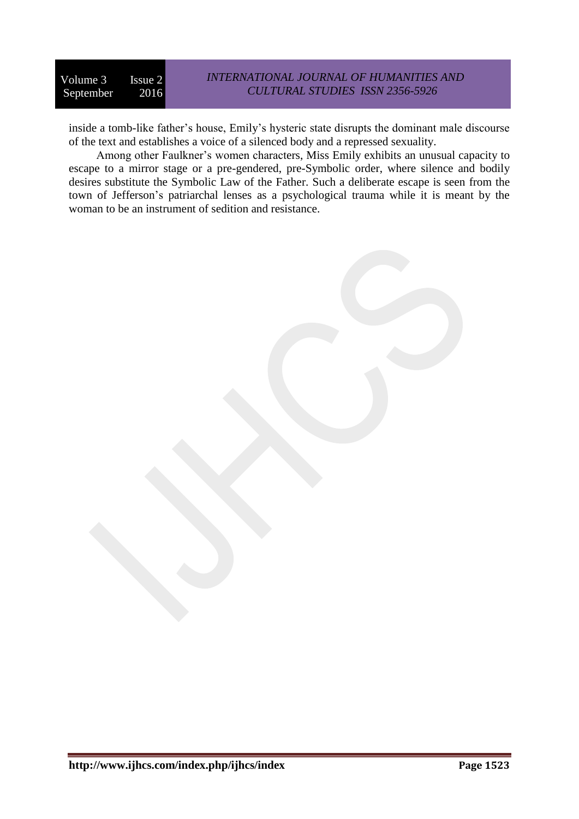# *INTERNATIONAL JOURNAL OF HUMANITIES AND CULTURAL STUDIES ISSN 2356-5926*

inside a tomb-like father's house, Emily's hysteric state disrupts the dominant male discourse of the text and establishes a voice of a silenced body and a repressed sexuality.

Among other Faulkner's women characters, Miss Emily exhibits an unusual capacity to escape to a mirror stage or a pre-gendered, pre-Symbolic order, where silence and bodily desires substitute the Symbolic Law of the Father. Such a deliberate escape is seen from the town of Jefferson's patriarchal lenses as a psychological trauma while it is meant by the woman to be an instrument of sedition and resistance.